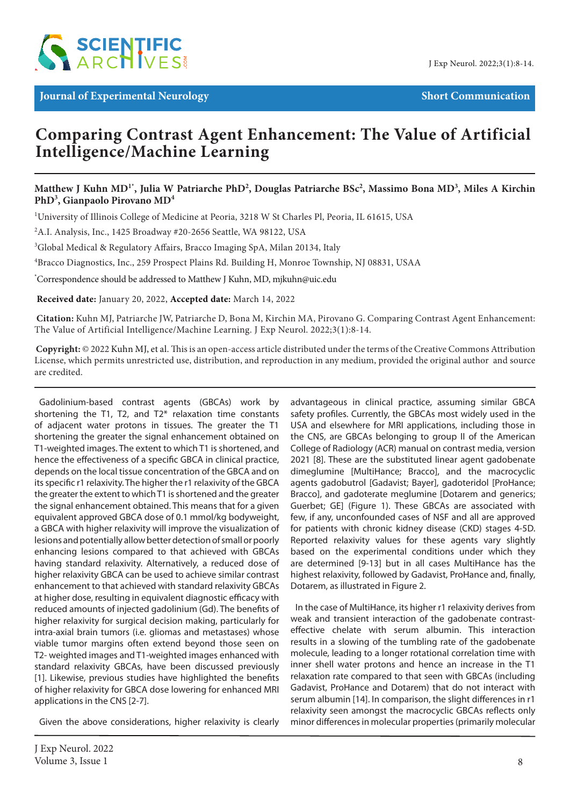

# **Comparing Contrast Agent Enhancement: The Value of Artificial Intelligence/Machine Learning**

# **Matthew J Kuhn MD1\*, Julia W Patriarche PhD2 , Douglas Patriarche BSc2 , Massimo Bona MD3 , Miles A Kirchin PhD3 , Gianpaolo Pirovano MD4**

<sup>1</sup>University of Illinois College of Medicine at Peoria, 3218 W St Charles Pl, Peoria, IL 61615, USA

2 A.I. Analysis, Inc., 1425 Broadway #20-2656 Seattle, WA 98122, USA

3 Global Medical & Regulatory Affairs, Bracco Imaging SpA, Milan 20134, Italy

4 Bracco Diagnostics, Inc., 259 Prospect Plains Rd. Building H, Monroe Township, NJ 08831, USAA

\* Correspondence should be addressed to Matthew J Kuhn, MD, mjkuhn@uic.edu

 **Received date:** January 20, 2022, **Accepted date:** March 14, 2022

**Citation:** Kuhn MJ, Patriarche JW, Patriarche D, Bona M, Kirchin MA, Pirovano G. Comparing Contrast Agent Enhancement: The Value of Artificial Intelligence/Machine Learning. J Exp Neurol. 2022;3(1):8-14.

**Copyright:** © 2022 Kuhn MJ, et al. This is an open-access article distributed under the terms of the Creative Commons Attribution License, which permits unrestricted use, distribution, and reproduction in any medium, provided the original author and source are credited.

Gadolinium-based contrast agents (GBCAs) work by shortening the T1, T2, and T2\* relaxation time constants of adjacent water protons in tissues. The greater the T1 shortening the greater the signal enhancement obtained on T1-weighted images. The extent to which T1 is shortened, and hence the effectiveness of a specific GBCA in clinical practice, depends on the local tissue concentration of the GBCA and on its specific r1 relaxivity. The higher the r1 relaxivity of the GBCA the greater the extent to which T1 is shortened and the greater the signal enhancement obtained. This means that for a given equivalent approved GBCA dose of 0.1 mmol/kg bodyweight, a GBCA with higher relaxivity will improve the visualization of lesions and potentially allow better detection of small or poorly enhancing lesions compared to that achieved with GBCAs having standard relaxivity. Alternatively, a reduced dose of higher relaxivity GBCA can be used to achieve similar contrast enhancement to that achieved with standard relaxivity GBCAs at higher dose, resulting in equivalent diagnostic efficacy with reduced amounts of injected gadolinium (Gd). The benefits of higher relaxivity for surgical decision making, particularly for intra-axial brain tumors (i.e. gliomas and metastases) whose viable tumor margins often extend beyond those seen on T2- weighted images and T1-weighted images enhanced with standard relaxivity GBCAs, have been discussed previously [1]. Likewise, previous studies have highlighted the benefits of higher relaxivity for GBCA dose lowering for enhanced MRI applications in the CNS [2-7].

Given the above considerations, higher relaxivity is clearly

advantageous in clinical practice, assuming similar GBCA safety profiles. Currently, the GBCAs most widely used in the USA and elsewhere for MRI applications, including those in the CNS, are GBCAs belonging to group II of the American College of Radiology (ACR) manual on contrast media, version 2021 [8]. These are the substituted linear agent gadobenate dimeglumine [MultiHance; Bracco], and the macrocyclic agents gadobutrol [Gadavist; Bayer], gadoteridol [ProHance; Bracco], and gadoterate meglumine [Dotarem and generics; Guerbet; GE] (Figure 1). These GBCAs are associated with few, if any, unconfounded cases of NSF and all are approved for patients with chronic kidney disease (CKD) stages 4-5D. Reported relaxivity values for these agents vary slightly based on the experimental conditions under which they are determined [9-13] but in all cases MultiHance has the highest relaxivity, followed by Gadavist, ProHance and, finally, Dotarem, as illustrated in Figure 2.

In the case of MultiHance, its higher r1 relaxivity derives from weak and transient interaction of the gadobenate contrasteffective chelate with serum albumin. This interaction results in a slowing of the tumbling rate of the gadobenate molecule, leading to a longer rotational correlation time with inner shell water protons and hence an increase in the T1 relaxation rate compared to that seen with GBCAs (including Gadavist, ProHance and Dotarem) that do not interact with serum albumin [14]. In comparison, the slight differences in r1 relaxivity seen amongst the macrocyclic GBCAs reflects only minor differences in molecular properties (primarily molecular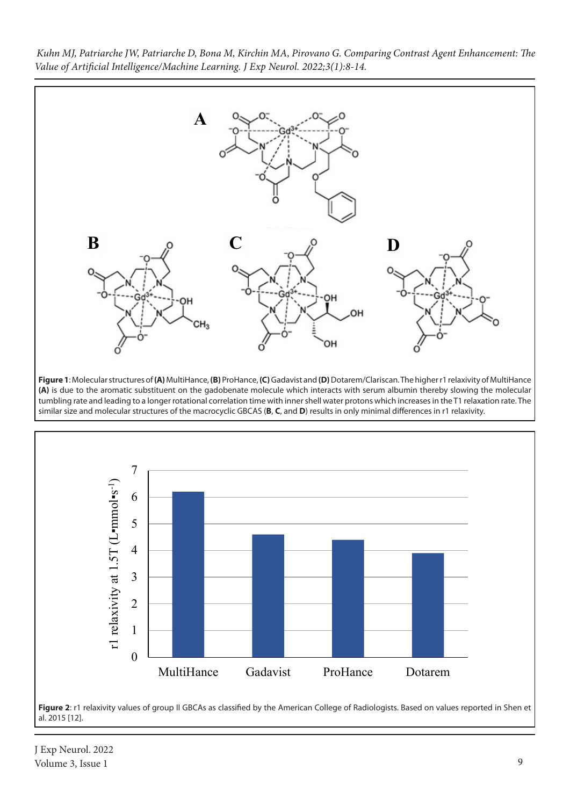

**Figure 1**: Molecular structures of **(A)** MultiHance, **(B)** ProHance, **(C)** Gadavist and **(D)** Dotarem/Clariscan. The higher r1 relaxivity of MultiHance **(A)** is due to the aromatic substituent on the gadobenate molecule which interacts with serum albumin thereby slowing the molecular tumbling rate and leading to a longer rotational correlation time with inner shell water protons which increases in the T1 relaxation rate. The similar size and molecular structures of the macrocyclic GBCAS (**B**, **C**, and **D**) results in only minimal differences in r1 relaxivity.



Figure 2: r1 relaxivity values of group II GBCAs as classified by the American College of Radiologists. Based on values reported in Shen et al. 2015 [12].

J Exp Neurol. 2022 Volume 3, Issue 1 9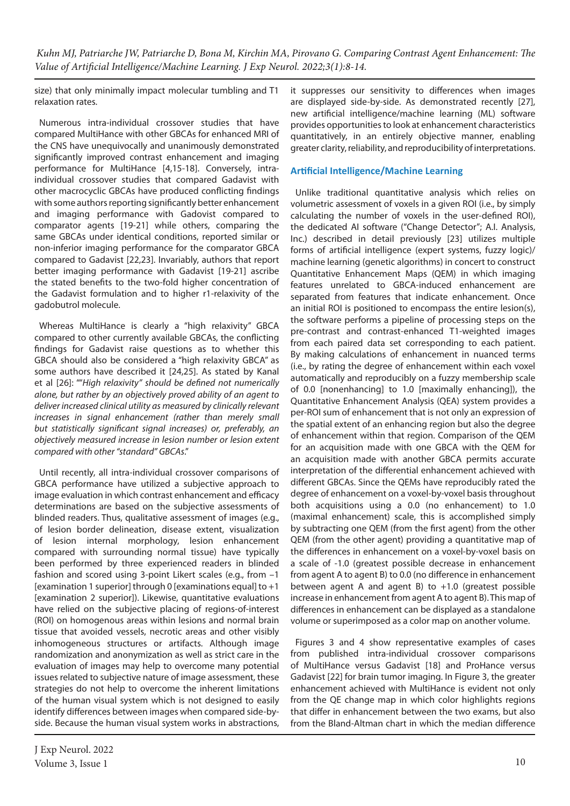size) that only minimally impact molecular tumbling and T1 relaxation rates.

Numerous intra-individual crossover studies that have compared MultiHance with other GBCAs for enhanced MRI of the CNS have unequivocally and unanimously demonstrated significantly improved contrast enhancement and imaging performance for MultiHance [4,15-18]. Conversely, intraindividual crossover studies that compared Gadavist with other macrocyclic GBCAs have produced conflicting findings with some authors reporting significantly better enhancement and imaging performance with Gadovist compared to comparator agents [19-21] while others, comparing the same GBCAs under identical conditions, reported similar or non-inferior imaging performance for the comparator GBCA compared to Gadavist [22,23]. Invariably, authors that report better imaging performance with Gadavist [19-21] ascribe the stated benefits to the two-fold higher concentration of the Gadavist formulation and to higher r1-relaxivity of the gadobutrol molecule.

Whereas MultiHance is clearly a "high relaxivity" GBCA compared to other currently available GBCAs, the conflicting findings for Gadavist raise questions as to whether this GBCA should also be considered a "high relaxivity GBCA" as some authors have described it [24,25]. As stated by Kanal et al [26]: ""*High relaxivity" should be defined not numerically alone, but rather by an objectively proved ability of an agent to deliver increased clinical utility as measured by clinically relevant*  increases in signal enhancement (rather than merely small *but statistically significant signal increases) or, preferably, an objectively measured increase in lesion number or lesion extent compared with other "standard" GBCAs*."

Until recently, all intra-individual crossover comparisons of GBCA performance have utilized a subjective approach to image evaluation in which contrast enhancement and efficacy determinations are based on the subjective assessments of blinded readers. Thus, qualitative assessment of images (e.g., of lesion border delineation, disease extent, visualization of lesion internal morphology, lesion enhancement compared with surrounding normal tissue) have typically been performed by three experienced readers in blinded fashion and scored using 3-point Likert scales (e.g., from –1 [examination 1 superior] through 0 [examinations equal] to +1 [examination 2 superior]). Likewise, quantitative evaluations have relied on the subjective placing of regions-of-interest (ROI) on homogenous areas within lesions and normal brain tissue that avoided vessels, necrotic areas and other visibly inhomogeneous structures or artifacts. Although image randomization and anonymization as well as strict care in the evaluation of images may help to overcome many potential issues related to subjective nature of image assessment, these strategies do not help to overcome the inherent limitations of the human visual system which is not designed to easily identify differences between images when compared side-byside. Because the human visual system works in abstractions,

J Exp Neurol. 2022 Volume 3, Issue 1  $\qquad 10$ 

it suppresses our sensitivity to differences when images are displayed side-by-side. As demonstrated recently [27], new artificial intelligence/machine learning (ML) software provides opportunities to look at enhancement characteristics quantitatively, in an entirely objective manner, enabling greater clarity, reliability, and reproducibility of interpretations.

## **Artificial Intelligence/Machine Learning**

Unlike traditional quantitative analysis which relies on volumetric assessment of voxels in a given ROI (i.e., by simply calculating the number of voxels in the user-defined ROI), the dedicated AI software ("Change Detector"; A.I. Analysis, Inc.) described in detail previously [23] utilizes multiple forms of artificial intelligence (expert systems, fuzzy logic)/ machine learning (genetic algorithms) in concert to construct Quantitative Enhancement Maps (QEM) in which imaging features unrelated to GBCA-induced enhancement are separated from features that indicate enhancement. Once an initial ROI is positioned to encompass the entire lesion(s), the software performs a pipeline of processing steps on the pre-contrast and contrast-enhanced T1-weighted images from each paired data set corresponding to each patient. By making calculations of enhancement in nuanced terms (i.e., by rating the degree of enhancement within each voxel automatically and reproducibly on a fuzzy membership scale of 0.0 [nonenhancing] to 1.0 [maximally enhancing]), the Quantitative Enhancement Analysis (QEA) system provides a per-ROI sum of enhancement that is not only an expression of the spatial extent of an enhancing region but also the degree of enhancement within that region. Comparison of the QEM for an acquisition made with one GBCA with the QEM for an acquisition made with another GBCA permits accurate interpretation of the differential enhancement achieved with different GBCAs. Since the QEMs have reproducibly rated the degree of enhancement on a voxel-by-voxel basis throughout both acquisitions using a 0.0 (no enhancement) to 1.0 (maximal enhancement) scale, this is accomplished simply by subtracting one QEM (from the first agent) from the other QEM (from the other agent) providing a quantitative map of the differences in enhancement on a voxel-by-voxel basis on a scale of -1.0 (greatest possible decrease in enhancement from agent A to agent B) to 0.0 (no difference in enhancement between agent A and agent B) to  $+1.0$  (greatest possible increase in enhancement from agent A to agent B). This map of differences in enhancement can be displayed as a standalone volume or superimposed as a color map on another volume.

Figures 3 and 4 show representative examples of cases from published intra-individual crossover comparisons of MultiHance versus Gadavist [18] and ProHance versus Gadavist [22] for brain tumor imaging. In Figure 3, the greater enhancement achieved with MultiHance is evident not only from the QE change map in which color highlights regions that differ in enhancement between the two exams, but also from the Bland-Altman chart in which the median difference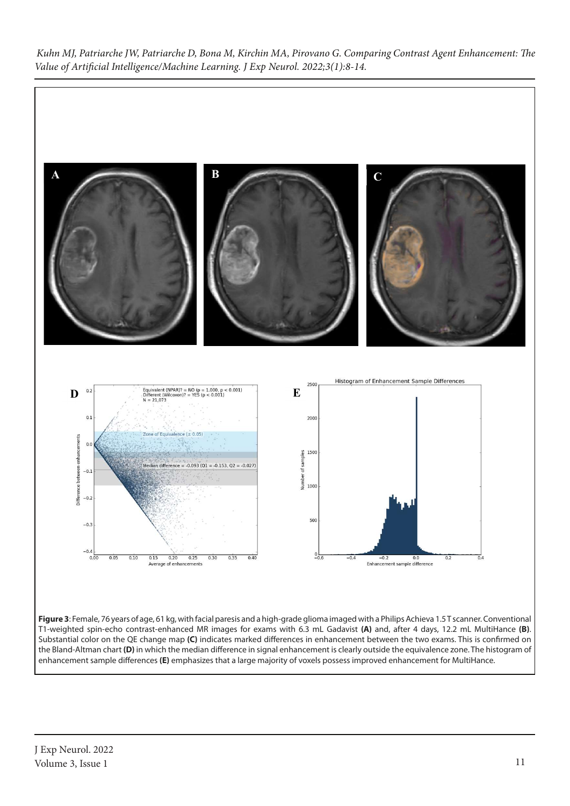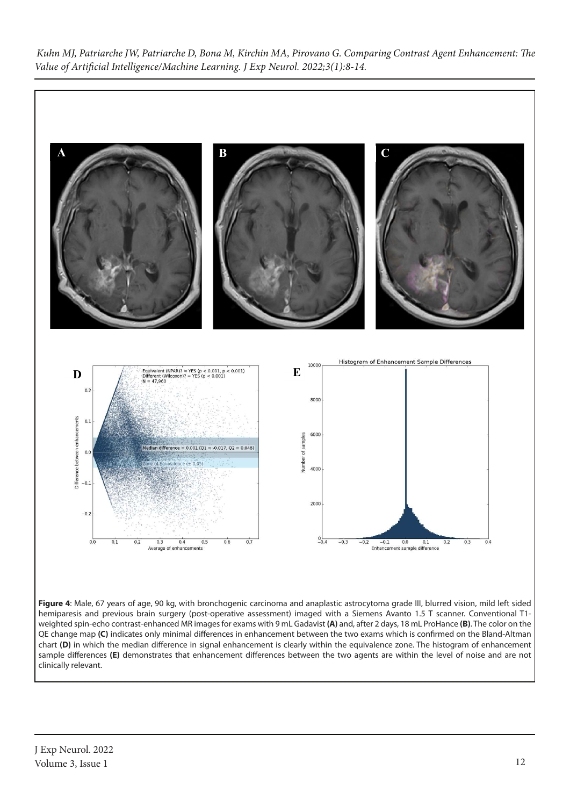

hemiparesis and previous brain surgery (post-operative assessment) imaged with a Siemens Avanto 1.5 T scanner. Conventional T1 weighted spin-echo contrast-enhanced MR images for exams with 9 mL Gadavist **(A)** and, after 2 days, 18 mL ProHance **(B)**. The color on the QE change map **(C)** indicates only minimal differences in enhancement between the two exams which is confirmed on the Bland-Altman chart **(D)** in which the median difference in signal enhancement is clearly within the equivalence zone. The histogram of enhancement sample differences **(E)** demonstrates that enhancement differences between the two agents are within the level of noise and are not clinically relevant.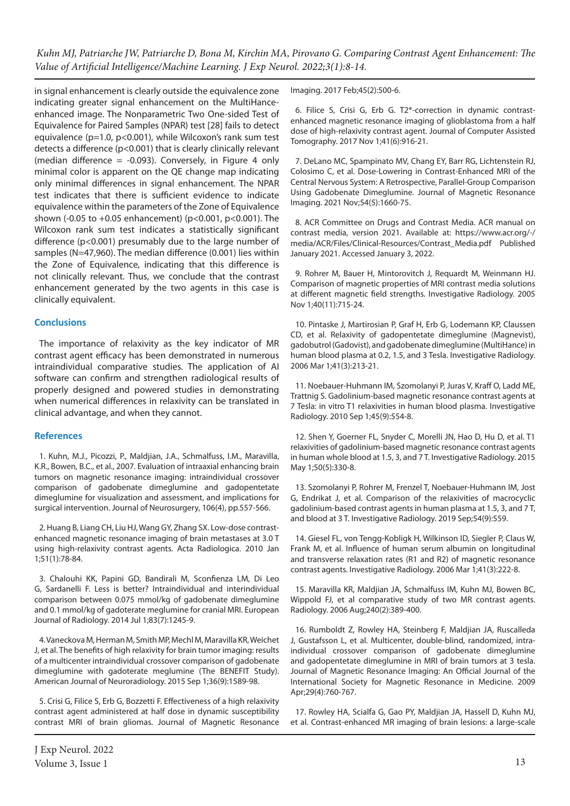in signal enhancement is clearly outside the equivalence zone indicating greater signal enhancement on the MultiHanceenhanced image. The Nonparametric Two One-sided Test of Equivalence for Paired Samples (NPAR) test [28] fails to detect equivalence (p=1.0, p<0.001), while Wilcoxon's rank sum test detects a difference (p<0.001) that is clearly clinically relevant (median difference  $= -0.093$ ). Conversely, in Figure 4 only minimal color is apparent on the QE change map indicating only minimal differences in signal enhancement. The NPAR test indicates that there is sufficient evidence to indicate equivalence within the parameters of the Zone of Equivalence shown (-0.05 to +0.05 enhancement) (p<0.001, p<0.001). The Wilcoxon rank sum test indicates a statistically significant difference (p<0.001) presumably due to the large number of samples (N=47,960). The median difference (0.001) lies within the Zone of Equivalence, indicating that this difference is not clinically relevant. Thus, we conclude that the contrast enhancement generated by the two agents in this case is clinically equivalent.

### **Conclusions**

The importance of relaxivity as the key indicator of MR contrast agent efficacy has been demonstrated in numerous intraindividual comparative studies. The application of AI software can confirm and strengthen radiological results of properly designed and powered studies in demonstrating when numerical differences in relaxivity can be translated in clinical advantage, and when they cannot.

### **References**

1. Kuhn, M.J., Picozzi, P., Maldjian, J.A., Schmalfuss, I.M., Maravilla, K.R., Bowen, B.C., et al., 2007. Evaluation of intraaxial enhancing brain tumors on magnetic resonance imaging: intraindividual crossover comparison of gadobenate dimeglumine and gadopentetate dimeglumine for visualization and assessment, and implications for surgical intervention. Journal of Neurosurgery, 106(4), pp.557-566.

2. Huang B, Liang CH, Liu HJ, Wang GY, Zhang SX. Low-dose contrastenhanced magnetic resonance imaging of brain metastases at 3.0 T using high-relaxivity contrast agents. Acta Radiologica. 2010 Jan 1;51(1):78-84.

3. Chalouhi KK, Papini GD, Bandirali M, Sconfienza LM, Di Leo G, Sardanelli F. Less is better? Intraindividual and interindividual comparison between 0.075 mmol/kg of gadobenate dimeglumine and 0.1 mmol/kg of gadoterate meglumine for cranial MRI. European Journal of Radiology. 2014 Jul 1;83(7):1245-9.

4. Vaneckova M, Herman M, Smith MP, Mechl M, Maravilla KR, Weichet J, et al. The benefits of high relaxivity for brain tumor imaging: results of a multicenter intraindividual crossover comparison of gadobenate dimeglumine with gadoterate meglumine (The BENEFIT Study). American Journal of Neuroradiology. 2015 Sep 1;36(9):1589-98.

5. Crisi G, Filice S, Erb G, Bozzetti F. Effectiveness of a high relaxivity contrast agent administered at half dose in dynamic susceptibility contrast MRI of brain gliomas. Journal of Magnetic Resonance Imaging. 2017 Feb;45(2):500-6.

6. Filice S, Crisi G, Erb G. T2\*-correction in dynamic contrastenhanced magnetic resonance imaging of glioblastoma from a half dose of high-relaxivity contrast agent. Journal of Computer Assisted Tomography. 2017 Nov 1;41(6):916-21.

7. DeLano MC, Spampinato MV, Chang EY, Barr RG, Lichtenstein RJ, Colosimo C, et al. Dose‐Lowering in Contrast‐Enhanced MRI of the Central Nervous System: A Retrospective, Parallel‐Group Comparison Using Gadobenate Dimeglumine. Journal of Magnetic Resonance Imaging. 2021 Nov;54(5):1660-75.

8. ACR Committee on Drugs and Contrast Media. ACR manual on contrast media, version 2021. Available at: https://www.acr.org/-/ media/ACR/Files/Clinical-Resources/Contrast\_Media.pdf Published January 2021. Accessed January 3, 2022.

9. Rohrer M, Bauer H, Mintorovitch J, Requardt M, Weinmann HJ. Comparison of magnetic properties of MRI contrast media solutions at different magnetic field strengths. Investigative Radiology. 2005 Nov 1;40(11):715-24.

10. Pintaske J, Martirosian P, Graf H, Erb G, Lodemann KP, Claussen CD, et al. Relaxivity of gadopentetate dimeglumine (Magnevist), gadobutrol (Gadovist), and gadobenate dimeglumine (MultiHance) in human blood plasma at 0.2, 1.5, and 3 Tesla. Investigative Radiology. 2006 Mar 1;41(3):213-21.

11. Noebauer-Huhmann IM, Szomolanyi P, Juras V, Kraff O, Ladd ME, Trattnig S. Gadolinium-based magnetic resonance contrast agents at 7 Tesla: in vitro T1 relaxivities in human blood plasma. Investigative Radiology. 2010 Sep 1;45(9):554-8.

12. Shen Y, Goerner FL, Snyder C, Morelli JN, Hao D, Hu D, et al. T1 relaxivities of gadolinium-based magnetic resonance contrast agents in human whole blood at 1.5, 3, and 7 T. Investigative Radiology. 2015 May 1;50(5):330-8.

13. Szomolanyi P, Rohrer M, Frenzel T, Noebauer-Huhmann IM, Jost G, Endrikat J, et al. Comparison of the relaxivities of macrocyclic gadolinium-based contrast agents in human plasma at 1.5, 3, and 7 T, and blood at 3 T. Investigative Radiology. 2019 Sep;54(9):559.

14. Giesel FL, von Tengg-Kobligk H, Wilkinson ID, Siegler P, Claus W, Frank M, et al. Influence of human serum albumin on longitudinal and transverse relaxation rates (R1 and R2) of magnetic resonance contrast agents. Investigative Radiology. 2006 Mar 1;41(3):222-8.

15. Maravilla KR, Maldjian JA, Schmalfuss IM, Kuhn MJ, Bowen BC, Wippold FJ, et al comparative study of two MR contrast agents. Radiology. 2006 Aug;240(2):389-400.

16. Rumboldt Z, Rowley HA, Steinberg F, Maldjian JA, Ruscalleda J, Gustafsson L, et al. Multicenter, double‐blind, randomized, intra‐ individual crossover comparison of gadobenate dimeglumine and gadopentetate dimeglumine in MRI of brain tumors at 3 tesla. Journal of Magnetic Resonance Imaging: An Official Journal of the International Society for Magnetic Resonance in Medicine. 2009 Apr;29(4):760-767.

17. Rowley HA, Scialfa G, Gao PY, Maldjian JA, Hassell D, Kuhn MJ, et al. Contrast-enhanced MR imaging of brain lesions: a large-scale